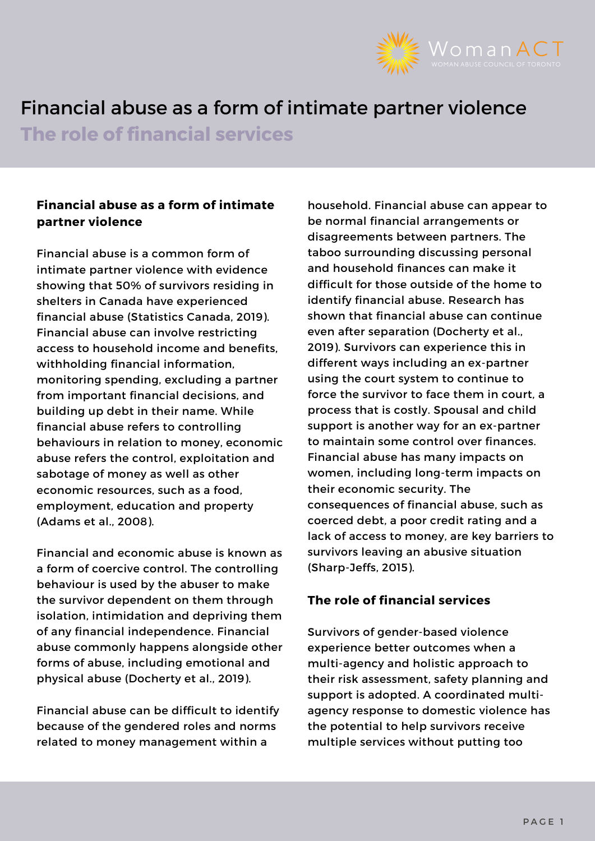

# Financial abuse as a form of intimate partner violence

**The role of financial services**

# **Financial abuse as a form of intimate partner violence**

Financial abuse is a common form of intimate partner violence with evidence showing that 50% of survivors residing in shelters in Canada have experienced financial abuse (Statistics Canada, 2019). Financial abuse can involve restricting access to household income and benefits, withholding financial information, monitoring spending, excluding a partner from important financial decisions, and building up debt in their name. While financial abuse refers to controlling behaviours in relation to money, economic abuse refers the control, exploitation and sabotage of money as well as other economic resources, such as a food, employment, education and property (Adams et al., 2008).

Financial and economic abuse is known as a form of coercive control. The controlling behaviour is used by the abuser to make the survivor dependent on them through isolation, intimidation and depriving them of any financial independence. Financial abuse commonly happens alongside other forms of abuse, including emotional and physical abuse (Docherty et al., 2019).

Financial abuse can be difficult to identify because of the gendered roles and norms related to money management within a

household. Financial abuse can appear to be normal financial arrangements or disagreements between partners. The taboo surrounding discussing personal and household finances can make it difficult for those outside of the home to identify financial abuse. Research has shown that financial abuse can continue even after separation (Docherty et al., 2019). Survivors can experience this in different ways including an ex-partner using the court system to continue to force the survivor to face them in court, a process that is costly. Spousal and child support is another way for an ex-partner to maintain some control over finances. Financial abuse has many impacts on women, including long-term impacts on their economic security. The consequences of financial abuse, such as coerced debt, a poor credit rating and a lack of access to money, are key barriers to survivors leaving an abusive situation (Sharp-Jeffs, 2015).

# **The role of financial services**

Survivors of gender-based violence experience better outcomes when a multi-agency and holistic approach to their risk assessment, safety planning and support is adopted. A coordinated multiagency response to domestic violence has the potential to help survivors receive multiple services without putting too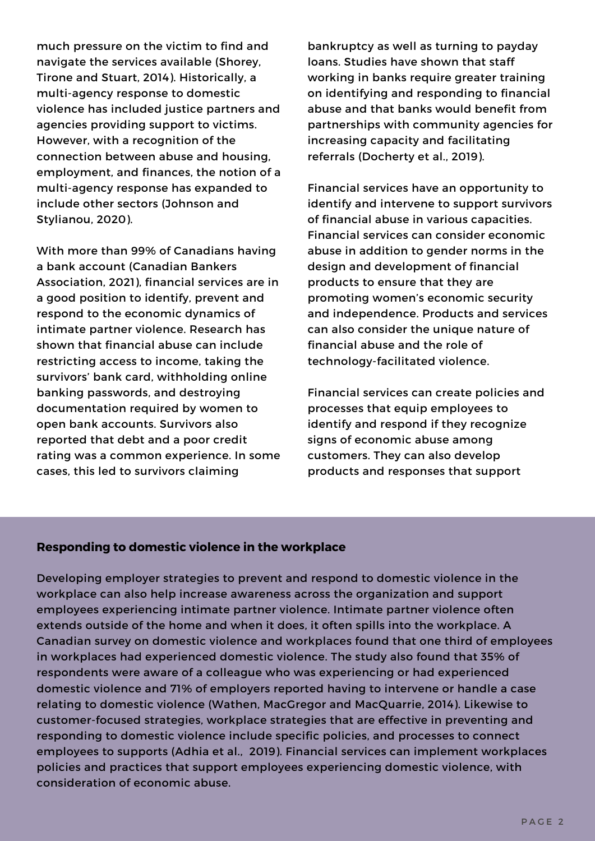much pressure on the victim to find and navigate the services available (Shorey, Tirone and Stuart, 2014). Historically, a multi-agency response to domestic violence has included justice partners and agencies providing support to victims. However, with a recognition of the connection between abuse and housing, employment, and finances, the notion of a multi-agency response has expanded to include other sectors (Johnson and Stylianou, 2020).

With more than 99% of Canadians having a bank account (Canadian Bankers Association, 2021), financial services are in a good position to identify, prevent and respond to the economic dynamics of intimate partner violence. Research has shown that financial abuse can include restricting access to income, taking the survivors' bank card, withholding online banking passwords, and destroying documentation required by women to open bank accounts. Survivors also reported that debt and a poor credit rating was a common experience. In some cases, this led to survivors claiming

bankruptcy as well as turning to payday loans. Studies have shown that staff working in banks require greater training on identifying and responding to financial abuse and that banks would benefit from partnerships with community agencies for increasing capacity and facilitating referrals (Docherty et al., 2019).

Financial services have an opportunity to identify and intervene to support survivors of financial abuse in various capacities. Financial services can consider economic abuse in addition to gender norms in the design and development of financial products to ensure that they are promoting women's economic security and independence. Products and services can also consider the unique nature of financial abuse and the role of technology-facilitated violence.

Financial services can create policies and processes that equip employees to identify and respond if they recognize signs of economic abuse among customers. They can also develop products and responses that support

#### **Responding to domestic violence in the workplace**

Developing employer strategies to prevent and respond to domestic violence in the workplace can also help increase awareness across the organization and support employees experiencing intimate partner violence. Intimate partner violence often extends outside of the home and when it does, it often spills into the workplace. A Canadian survey on domestic violence and workplaces found that one third of employees in workplaces had experienced domestic violence. The study also found that 35% of respondents were aware of a colleague who was experiencing or had experienced domestic violence and 71% of employers reported having to intervene or handle a case relating to domestic violence (Wathen, MacGregor and MacQuarrie, 2014). Likewise to customer-focused strategies, workplace strategies that are effective in preventing and responding to domestic violence include specific policies, and processes to connect employees to supports (Adhia et al., 2019). Financial services can implement workplaces policies and practices that support employees experiencing domestic violence, with consideration of economic abuse.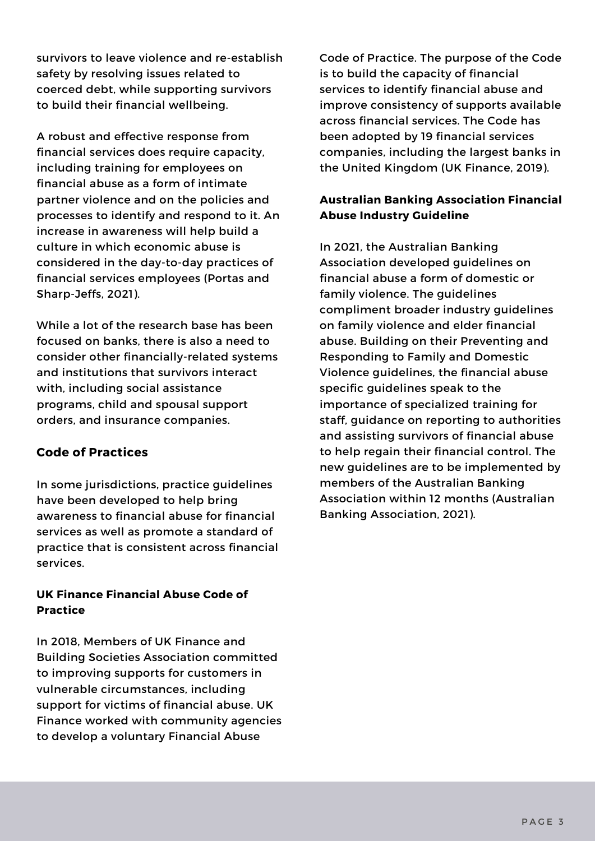survivors to leave violence and re-establish safety by resolving issues related to coerced debt, while supporting survivors to build their financial wellbeing.

A robust and effective response from financial services does require capacity, including training for employees on financial abuse as a form of intimate partner violence and on the policies and processes to identify and respond to it. An increase in awareness will help build a culture in which economic abuse is considered in the day-to-day practices of financial services employees (Portas and Sharp-Jeffs, 2021).

While a lot of the research base has been focused on banks, there is also a need to consider other financially-related systems and institutions that survivors interact with, including social assistance programs, child and spousal support orders, and insurance companies.

## **Code of Practices**

In some jurisdictions, practice guidelines have been developed to help bring awareness to financial abuse for financial services as well as promote a standard of practice that is consistent across financial services.

### **UK Finance Financial Abuse Code of Practice**

In 2018, Members of UK Finance and Building Societies Association committed to improving supports for customers in vulnerable circumstances, including support for victims of financial abuse. UK Finance worked with community agencies to develop a voluntary Financial Abuse

Code of Practice. The purpose of the Code is to build the capacity of financial services to identify financial abuse and improve consistency of supports available across financial services. The Code has been adopted by 19 financial services companies, including the largest banks in the United Kingdom (UK Finance, 2019).

## **Australian Banking Association Financial Abuse Industry Guideline**

In 2021, the Australian Banking Association developed guidelines on financial abuse a form of domestic or family violence. The guidelines compliment broader industry guidelines on family violence and elder financial abuse. Building on their Preventing and Responding to Family and Domestic Violence guidelines, the financial abuse specific guidelines speak to the importance of specialized training for staff, guidance on reporting to authorities and assisting survivors of financial abuse to help regain their financial control. The new guidelines are to be implemented by members of the Australian Banking Association within 12 months (Australian Banking Association, 2021).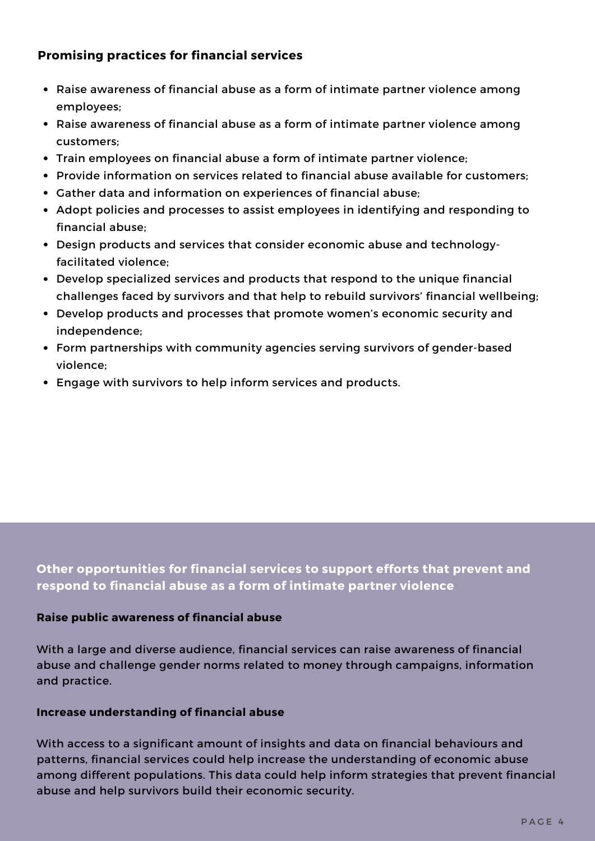## **Promising practices for financial services**

- Raise awareness of financial abuse as a form of intimate partner violence among employees;
- Raise awareness of financial abuse as a form of intimate partner violence among customers;
- Train employees on financial abuse a form of intimate partner violence;
- Provide information on services related to financial abuse available for customers;
- Gather data and information on experiences of financial abuse;
- Adopt policies and processes to assist employees in identifying and responding to financial abuse;
- Design products and services that consider economic abuse and technologyfacilitated violence;
- Develop specialized services and products that respond to the unique financial challenges faced by survivors and that help to rebuild survivors' financial wellbeing;
- Develop products and processes that promote women's economic security and independence;
- Form partnerships with community agencies serving survivors of gender-based violence;
- Engage with survivors to help inform services and products.

**Other opportunities for financial services to support efforts that prevent and respond to financial abuse as a form of intimate partner violence**

#### **Raise public awareness of financial abuse**

With a large and diverse audience, financial services can raise awareness of financial abuse and challenge gender norms related to money through campaigns, information and practice.

#### **Increase understanding of financial abuse**

With access to a significant amount of insights and data on financial behaviours and patterns, financial services could help increase the understanding of economic abuse among different populations. This data could help inform strategies that prevent financial abuse and help survivors build their economic security.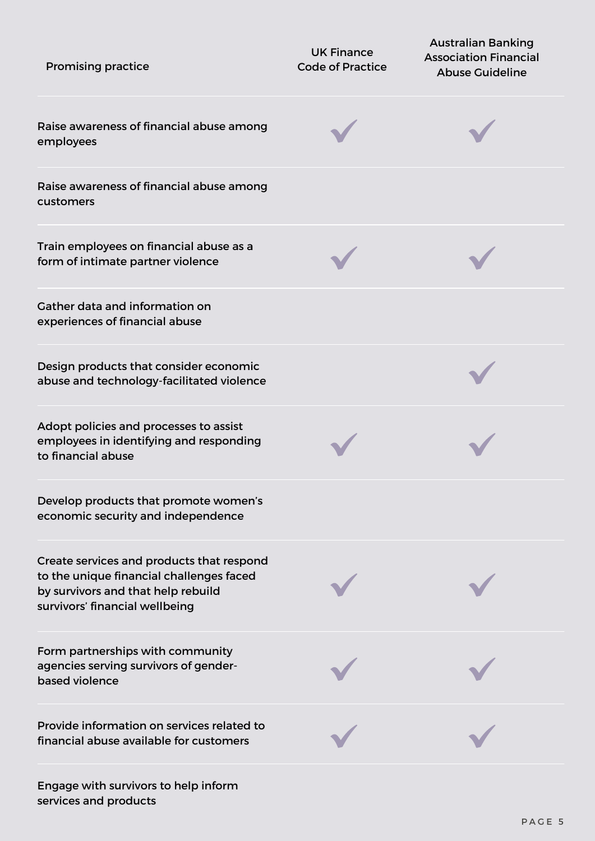| <b>Promising practice</b>                                                                                                                                     | <b>UK Finance</b><br><b>Code of Practice</b> | <b>Australian Banking</b><br><b>Association Financial</b><br><b>Abuse Guideline</b> |
|---------------------------------------------------------------------------------------------------------------------------------------------------------------|----------------------------------------------|-------------------------------------------------------------------------------------|
| Raise awareness of financial abuse among<br>employees                                                                                                         |                                              |                                                                                     |
| Raise awareness of financial abuse among<br>customers                                                                                                         |                                              |                                                                                     |
| Train employees on financial abuse as a<br>form of intimate partner violence                                                                                  |                                              |                                                                                     |
| Gather data and information on<br>experiences of financial abuse                                                                                              |                                              |                                                                                     |
| Design products that consider economic<br>abuse and technology-facilitated violence                                                                           |                                              |                                                                                     |
| Adopt policies and processes to assist<br>employees in identifying and responding<br>to financial abuse                                                       |                                              |                                                                                     |
| Develop products that promote women's<br>economic security and independence                                                                                   |                                              |                                                                                     |
| Create services and products that respond<br>to the unique financial challenges faced<br>by survivors and that help rebuild<br>survivors' financial wellbeing |                                              |                                                                                     |
| Form partnerships with community<br>agencies serving survivors of gender-<br>based violence                                                                   |                                              |                                                                                     |
| Provide information on services related to<br>financial abuse available for customers                                                                         |                                              |                                                                                     |
| Engage with survivors to help inform                                                                                                                          |                                              |                                                                                     |

services and products